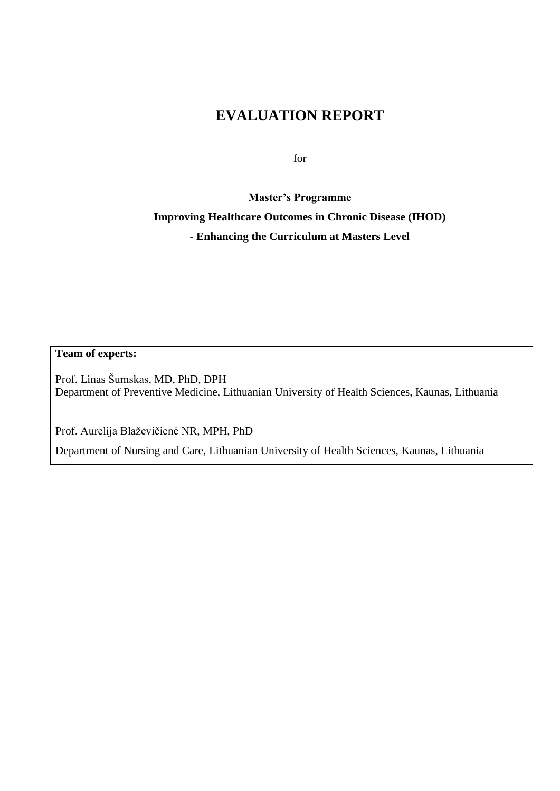# **EVALUATION REPORT**

for

**Master's Programme Improving Healthcare Outcomes in Chronic Disease (IHOD) - Enhancing the Curriculum at Masters Level**

**Team of experts:**

Prof. Linas Šumskas, MD, PhD, DPH Department of Preventive Medicine, Lithuanian University of Health Sciences, Kaunas, Lithuania

Prof. Aurelija Blaževičienė NR, MPH, PhD

Department of Nursing and Care, Lithuanian University of Health Sciences, Kaunas, Lithuania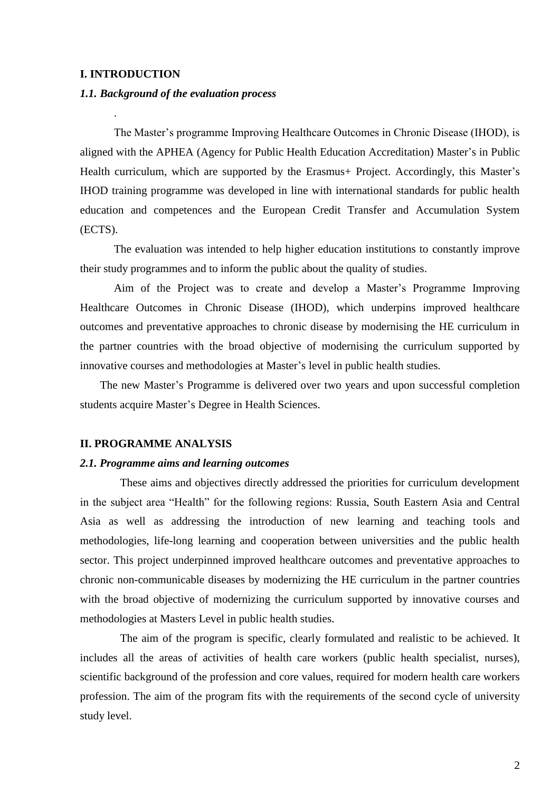# **I. INTRODUCTION**

.

# *1.1. Background of the evaluation process*

The Master's programme Improving Healthcare Outcomes in Chronic Disease (IHOD), is aligned with the APHEA (Agency for Public Health Education Accreditation) Master's in Public Health curriculum, which are supported by the Erasmus+ Project. Accordingly, this Master's IHOD training programme was developed in line with international standards for public health education and competences and the European Credit Transfer and Accumulation System (ECTS).

The evaluation was intended to help higher education institutions to constantly improve their study programmes and to inform the public about the quality of studies.

Aim of the Project was to create and develop a Master's Programme Improving Healthcare Outcomes in Chronic Disease (IHOD), which underpins improved healthcare outcomes and preventative approaches to chronic disease by modernising the HE curriculum in the partner countries with the broad objective of modernising the curriculum supported by innovative courses and methodologies at Master's level in public health studies.

The new Master's Programme is delivered over two years and upon successful completion students acquire Master's Degree in Health Sciences.

#### **II. PROGRAMME ANALYSIS**

# *2.1. Programme aims and learning outcomes*

These aims and objectives directly addressed the priorities for curriculum development in the subject area "Health" for the following regions: Russia, South Eastern Asia and Central Asia as well as addressing the introduction of new learning and teaching tools and methodologies, life-long learning and cooperation between universities and the public health sector. This project underpinned improved healthcare outcomes and preventative approaches to chronic non-communicable diseases by modernizing the HE curriculum in the partner countries with the broad objective of modernizing the curriculum supported by innovative courses and methodologies at Masters Level in public health studies.

The aim of the program is specific, clearly formulated and realistic to be achieved. It includes all the areas of activities of health care workers (public health specialist, nurses), scientific background of the profession and core values, required for modern health care workers profession. The aim of the program fits with the requirements of the second cycle of university study level.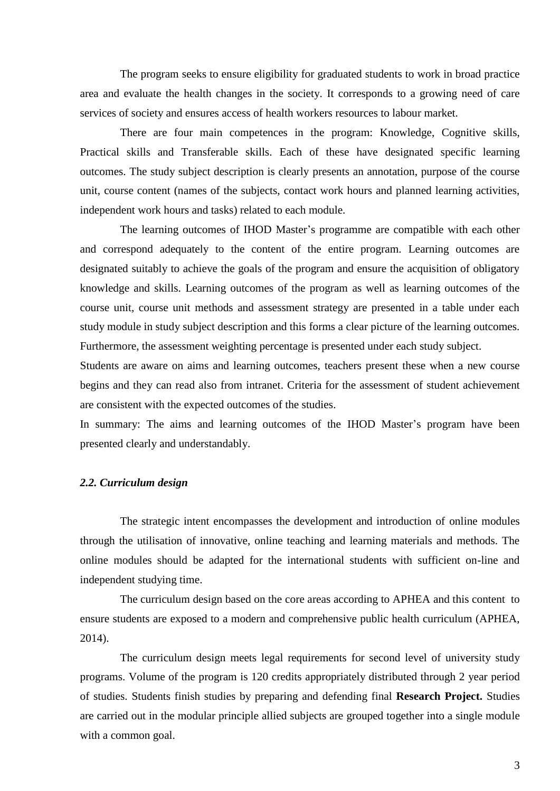The program seeks to ensure eligibility for graduated students to work in broad practice area and evaluate the health changes in the society. It corresponds to a growing need of care services of society and ensures access of health workers resources to labour market.

There are four main competences in the program: Knowledge, Cognitive skills, Practical skills and Transferable skills. Each of these have designated specific learning outcomes. The study subject description is clearly presents an annotation, purpose of the course unit, course content (names of the subjects, contact work hours and planned learning activities, independent work hours and tasks) related to each module.

The learning outcomes of IHOD Master's programme are compatible with each other and correspond adequately to the content of the entire program. Learning outcomes are designated suitably to achieve the goals of the program and ensure the acquisition of obligatory knowledge and skills. Learning outcomes of the program as well as learning outcomes of the course unit, course unit methods and assessment strategy are presented in a table under each study module in study subject description and this forms a clear picture of the learning outcomes. Furthermore, the assessment weighting percentage is presented under each study subject.

Students are aware on aims and learning outcomes, teachers present these when a new course begins and they can read also from intranet. Criteria for the assessment of student achievement are consistent with the expected outcomes of the studies.

In summary: The aims and learning outcomes of the IHOD Master's program have been presented clearly and understandably.

# *2.2. Curriculum design*

The strategic intent encompasses the development and introduction of online modules through the utilisation of innovative, online teaching and learning materials and methods. The online modules should be adapted for the international students with sufficient on-line and independent studying time.

The curriculum design based on the core areas according to APHEA and this content to ensure students are exposed to a modern and comprehensive public health curriculum (APHEA, 2014).

The curriculum design meets legal requirements for second level of university study programs. Volume of the program is 120 credits appropriately distributed through 2 year period of studies. Students finish studies by preparing and defending final **Research Project.** Studies are carried out in the modular principle allied subjects are grouped together into a single module with a common goal.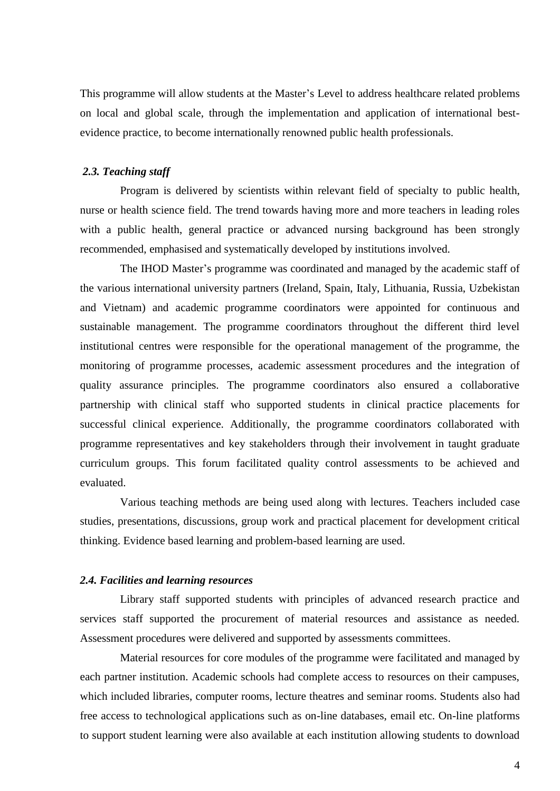This programme will allow students at the Master's Level to address healthcare related problems on local and global scale, through the implementation and application of international bestevidence practice, to become internationally renowned public health professionals.

# *2.3. Teaching staff*

Program is delivered by scientists within relevant field of specialty to public health, nurse or health science field. The trend towards having more and more teachers in leading roles with a public health, general practice or advanced nursing background has been strongly recommended, emphasised and systematically developed by institutions involved.

The IHOD Master's programme was coordinated and managed by the academic staff of the various international university partners (Ireland, Spain, Italy, Lithuania, Russia, Uzbekistan and Vietnam) and academic programme coordinators were appointed for continuous and sustainable management. The programme coordinators throughout the different third level institutional centres were responsible for the operational management of the programme, the monitoring of programme processes, academic assessment procedures and the integration of quality assurance principles. The programme coordinators also ensured a collaborative partnership with clinical staff who supported students in clinical practice placements for successful clinical experience. Additionally, the programme coordinators collaborated with programme representatives and key stakeholders through their involvement in taught graduate curriculum groups. This forum facilitated quality control assessments to be achieved and evaluated.

Various teaching methods are being used along with lectures. Teachers included case studies, presentations, discussions, group work and practical placement for development critical thinking. Evidence based learning and problem-based learning are used.

# *2.4. Facilities and learning resources*

Library staff supported students with principles of advanced research practice and services staff supported the procurement of material resources and assistance as needed. Assessment procedures were delivered and supported by assessments committees.

Material resources for core modules of the programme were facilitated and managed by each partner institution. Academic schools had complete access to resources on their campuses, which included libraries, computer rooms, lecture theatres and seminar rooms. Students also had free access to technological applications such as on-line databases, email etc. On-line platforms to support student learning were also available at each institution allowing students to download